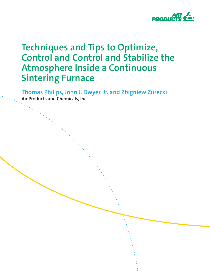

**Thomas Philips, John J. Dwyer, Jr. and Zbigniew Zurecki Air Products and Chemicals, Inc.**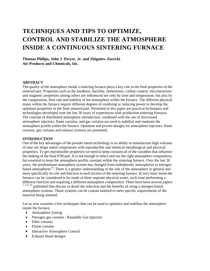## **TECHNIQUES AND TIPS TO OPTIMIZE, CONTROL AND STABILIZE THE ATMOSPHERE INSIDE A CONTINUOUS SINTERING FURNACE**

**Thomas Philips, John J. Dwyer, Jr. and Zbigniew Zurecki Air Products and Chemicals, Inc.** 

#### **ABSTRACT**

The quality of the atmosphere inside a sintering furnace plays a key role in the final properties of the sintered part. Properties such as the hardness, ductility, dimensions, carbon content, microstructure and magnetic properties among others are influenced not only by time and temperature, but also by the composition, flow rate and stability of the atmosphere within the furnace. The different physical zones within the furnace require different degrees of oxidizing or reducing power to develop the optimum properties in the final sintered part. Presented in this paper are practical techniques and technologies developed over the last 30 years of experiences with production sintering furnaces. The concept of distributed atmosphere introduction, combined with the use of directional atmosphere injectors, flame curtains, and gas curtains are used to stabilize and maintain the atmosphere profile within the furnace. Optimum and proven designs for atmosphere injectors, flame curtains, gas curtains and exhaust systems are presented.

#### **INTRODUCTION**

One of the key advantages of the powder metal technology is its ability to manufacture high volumes of near net shape metal components with reproducible and identical metallurgical and physical properties. To get reproducible properties we need to keep constant all of the variables that influence the making of the final P/M part. It is not enough to select and use the right atmosphere composition, but essential to keep the atmosphere profile constant within the sintering furnace. Over the last 30 years, the predominant atmosphere system has changed from endothermic atmospheres to nitrogen based atmospheres<sup>10</sup>. There is a greater understanding of the role of the atmosphere in general and more specifically its role and function in each section of the sintering furnace. In very basic terms the furnace can be considered to be made of three separate physical zones, each zone performing a different function and requiring a different atmosphere composition. There have been several papers  $1, 2, 9, 10$  published that discuss in detail the selection and the benefits of using a nitrogen based atmosphere systems. These systems can be custom tailored to meet specific requirements of the material being sintered.

Let us now examine a few techniques that can be used to optimize and stabilize the atmosphere inside the furnace.

- Atmosphere Zoning
- Nitrogen gas curtains / Rotatable Gas injectors
- Fiber curtains
- Flame curtains
- Interactive Atmosphere Control
- Exhaust Hood designs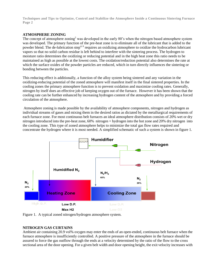#### **ATMOSPHERE ZONING**

The concept of atmosphere zoning<sup>2</sup> was developed in the early 80's when the nitrogen based atmosphere system was developed. The primary function of the pre-heat zone is to eliminate all of the lubricant that is added to the powder blend. The de-lubrication step<sup>4, 6</sup> requires an oxidizing atmosphere to oxidize the hydrocarbon lubricant vapors so that no solid carbon residue is left behind to interfere with the sintering process. The hydrogen to moisture ratio determines the oxidizing or reducing potential and in the high heat zone this ratio needs to be maintained as high as possible at the lowest costs. The oxidation/reduction potential also determines the rate at which the surface oxides of the powder particles are reduced, which in turn directly influences the sintering or bonding between the particles.

This reducing effect is additionally, a function of the alloy system being sintered and any variation in the oxidizing-reducing potential of the zoned atmosphere will manifest itself in the final sintered properties. In the cooling zones the primary atmosphere function is to prevent oxidation and maximize cooling rates. Generally, nitrogen by itself does an effective job of keeping oxygen out of the furnace. However it has been shown that the cooling rate can be further enhanced by increasing hydrogen content of the atmosphere and by providing a forced circulation of the atmosphere.

Atmosphere zoning is made possible by the availability of atmosphere components, nitrogen and hydrogen as individual streams of gases and mixing them in the desired ratios as dictated by the metallurgical requirements of each furnace zone. For most continuous belt furnaces an ideal atmosphere distribution consists of 20% wet or dry nitrogen introduced into the pre-heat zone, 60% nitrogen + hydrogen into the hot zone and 20% dry nitrogen into the cooling zone. This type of zoned atmosphere helps to minimize the total gas flow rates required and concentrate the hydrogen where it is most needed. A simplified schematic of such a system is shown in figure 1.



Figure 1. A typical zoned nitrogen/hydrogen atmosphere system.

#### **NITROGEN GAS CURTAINS**

Ambient air containing 20.9 vol% oxygen may enter the ends of an open-ended, continuous belt furnace when the furnace atmosphere is insufficiently controlled. A positive pressure of the atmosphere in the furnace should be assured to force the gas outflow through the ends at a velocity determined by the ratio of the flow to the cross sectional area of the door opening. For a given belt width and door opening height, the exit velocity increases with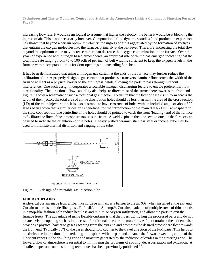increasing flow rate. It would seem logical to assume that higher the velocity, the better it would be at blocking the ingress of air. This is not necessarily however. Computational fluid dynamics studies<sup>3</sup> and production experience has shown that beyond a certain optimum velocity, the ingress of air is aggravated by the formation of vortices that entrain the oxygen molecules into the furnace, primarily at the belt level. Therefore, increasing the total flow beyond the optimum value may increase rather than decrease the oxygen contamination in the furnace. Over the years of experience with nitrogen based atmospheres, an empirical rule of thumb has emerged indicating that the total flow rate ranging from 75 to 100 scfh of per inch of belt width is sufficient to keep the oxygen levels in the furnace within acceptable limits for door openings not exceeding 3 inches.

It has been demonstrated that using a nitrogen gas curtain at the ends of the furnace may further reduce the infiltration of air. A properly designed gas curtain that produces a transverse laminar flow across the width of the furnace will act as a physical barrier to the air ingress, while allowing the parts to pass through without interference. One such design incorporates a rotatable nitrogen discharging feature to enable preferential flow directionality. The directional flow capability also helps to direct most of the atmosphere towards the front end. Figure 2 shows a schematic of such a rotational gas injector. To ensure that the flow of gases is uniform across the width of the injector, the total area of all the distribution holes should be less than half the area of the cross section (I.D) of the main injector tube. It is also desirable to have two rows of holes with an included angle of about  $30^0$ . It has been shown that a similar design is beneficial for the introduction of the main dry N2+H2 atmosphere in the slow cool section. The centerline of the holes should be pointed towards the front (loading) end of the furnace to facilitate the flow of the atmosphere towards the front. A welded pin on the tube section outside the furnace can be used to indicate the orientation of the holes. A heavy walled ceramic, stainless steel or inconel tube may be used to minimize thermal distortion and sagging of the tube.



Figure 2. A design of a rotatable gas injection tube

#### **FIBER CURTAINS**

A physical curtain made from a fiber like cordage will act as a barrier to the air  $(O_2)$  when installed at the exit end. Curtain materials include fiber glass, Refrasil® and Siltemp®. Curtains made up of multiple rows of thin strands in a mop-like fashion help reduce heat loss and minimize oxygen infiltration, and allow the parts to exit the furnace freely. The advantage of using flexible curtains is that the fibers tightly hug the processed parts and do not create a visible opening such as in the case of traditional tape curtain materials. A fiber curtain at the exit end also provides a physical barrier to gases escaping from the exit end and promotes the desired atmosphere flow towards the front end. Typically 80% of the gases should flow counter to the travel direction of the P/M parts. This helps to maximize the interaction of the reducing atmosphere with the part and enhance the forward sweeping action of the lubricant vapors in the de-lubing zone and moisture generated by the reduction of oxides in the sintering zone. The forward flow of atmosphere is essential to minimizing the problems of sooting, decarburization and oxidation. A detailed paper on trouble shooting techniques has been previously published  $^{\overline{4}, 8}$ .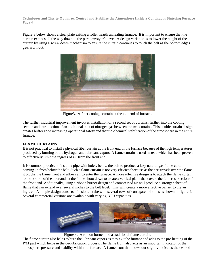Figure 3 below shows a steel plate exiting a roller hearth annealing furnace. It is important to ensure that the curtain extends all the way down to the part conveyor's level. A design variation is to lower the height of the curtain by using a screw down mechanism to ensure the curtain continues to touch the belt as the bottom edges gets worn out.



Figure3. A fiber cordage curtain at the exit end of furnace.

The further industrial improvement involves installation of a second set of curtains, further into the cooling section and introduction of an additional inlet of nitrogen gas between the two curtains. This double curtain design creates buffer zone increasing operational safety and thermo-chemical stabilization of the atmosphere in the entire furnace.

#### **FLAME CURTAINS**

It is not practical to install a physical fiber curtain at the front end of the furnace because of the high temperatures produced by burning of the hydrogen and lubricant vapors. A flame curtain is used instead which has been proven to effectively limit the ingress of air from the front end.

It is common practice to install a pipe with holes, below the belt to produce a lazy natural gas flame curtain coming up from below the belt. Such a flame curtain is not very efficient because as the part travels over the flame, it blocks the flame front and allows air to enter the furnace. A more effective design is to attach the flame curtain to the bottom of the door and let the flame shoot down to create a vertical plane that covers the full cross section of the front end. Additionally, using a ribbon burner design and compressed air will produce a stronger sheet of flame that can extend over several inches to the belt level. This will create a more effective barrier to the air ingress. A simple design consists of a slotted tube with several rows of corrugated ribbons as shown in figure 4. Several commercial versions are available with varying BTU capacities.



Figure 4. A ribbon burner and a traditional flame curtain.

The flame curtain also helps to burn the lubricant vapors as they exit the furnace and adds to the pre-heating of the P/M part which helps in the de-lubrication process. The flame front also acts as an important indicator of the atmosphere pressure and stability within the furnace. A flame front that blows out slightly indicates the desired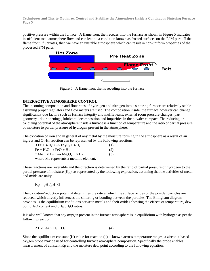positive pressure within the furnace. A flame front that recedes into the furnace as shown in Figure 5 indicates insufficient total atmosphere flow and can lead to a condition known as frosted surfaces on the P/ M part. If the flame front fluctuates, then we have an unstable atmosphere which can result in non-uniform properties of the processed P/M parts.



Figure 5. A flame front that is receding into the furnace.

#### **INTERACTIVE ATMOSPHERE CONTROL**

The incoming composition and flow rates of hydrogen and nitrogen into a sintering furnace are relatively stable assuming proper regulators and flow meters are used. The composition inside the furnace however can change significantly due factors such as furnace integrity and muffle leaks, external room pressure changes, part geometry , door openings, lubricant decomposition and impurities in the powder compact. The reducing or oxidizing potential of the atmosphere inside a furnace is a function of temperature and the ratio of partial pressure of moisture to partial pressure of hydrogen present in the atmosphere.

The oxidation of iron and in general of any metal by the moisture forming in the atmosphere as a result of air ingress and  $O_2$ -H<sub>2</sub> reaction can be represented by the following reactions:

| $3 \text{ Fe} + 4 \text{ H}_2\text{O} \rightarrow \text{Fe}_3\text{O}_4 + 4 \text{ H}_2$  | (1) |
|-------------------------------------------------------------------------------------------|-----|
| $Fe + H2O \rightarrow FeO + H2$                                                           | (2) |
| x Me + y H <sub>2</sub> O $\rightarrow$ Me <sub>x</sub> O <sub>y</sub> + y H <sub>2</sub> | (3) |
| where Me represents a metallic element.                                                   |     |

These reactions are reversible and the direction is determined by the ratio of partial pressure of hydrogen to the partial pressure of moisture (Kp), as represented by the following expression, assuming that the activities of metal and oxide are unity.

 $Kp = pH<sub>2</sub>/pH<sub>2</sub>$  O

The oxidation/reduction potential determines the rate at which the surface oxides of the powder particles are reduced, which directly influences the sintering or bonding between the particles. The Ellingham diagram provides us the equilibrium conditions between metals and their oxides showing the effects of temperature, dew point/H<sub>2</sub>O content and  $pH_2/pH_2O$  ratios.

It is also well known that any oxygen present in the furnace atmosphere is in equilibrium with hydrogen as per the following reaction:

$$
2 H_2O \leftrightarrow 2 H_2 + O_2 \tag{4}
$$

Since the equilibrium constant (K) value for reaction (4) is known across temperature ranges, a zirconia-based oxygen probe may be used for controlling furnace atmosphere composition. Specifically the probe enables measurement of constant Kp and the moisture dew point according to the following equation: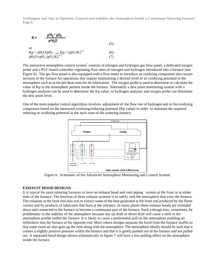$$
K = \frac{p^{2}H_{2} * pO_{2}}{p^{2}H_{2}O}
$$
\n  
\nor\n  
\n
$$
Kp = pH_{2}O/pH_{2 \text{ and }Kp} = (pO_{2}/K)^{1/2}
$$
\n(5)\n  
\n
$$
pH_{2}O = pH_{2} (pO_{2}/K)^{1/2}
$$
\n(6)\n  
\n(7)

The interactive atmosphere control system<sup>7</sup> consists of nitrogen and hydrogen gas flow panel, a dedicated oxygen probe and a PLC-based controller regulating flow rates of nitrogen and hydrogen introduced into a furnace (see Figure 6). The gas flow panel is also equipped with a flow meter to introduce an oxidizing component into certain sections of the furnace for operations that require maintaining a desired level of an oxidizing potential in the atmosphere such as in the pre-heat zone for de-lubrication. The oxygen probe is used to determine or calculate the value of Kp in the atmosphere present inside the furnace. Alternately a dew point monitoring system with a hydrogen analyzer can be used to determine the Kp value, or hydrogen analyzer and oxygen probe can determine the dew point level.

One of the more popular control algorithms involves adjustment of the flow rate of hydrogen and or the oxidizing component based on the measured oxidizing/reducing potential (Kp value) in order to maintain the required reducing or oxidizing potential in the each zone of the sintering furnace.



Figure 6. Schematic of the Advanced Atmosphere Monitoring and Control System.

#### **EXHAUST HOOD DESIGNS**

It is typical for most sintering furnaces to have an exhaust hood and vent piping system at the front or at either ends of the furnace. The function of these exhaust systems is to safely vent the atmosphere that exits the furnace. The exhausts at the front end also acts to extract some of the heat generated at the front end produced by the flame curtain and by products of lubricants that burn at the entrance. In many plants these exhaust hoods are extended down and connected to the furnace to become a continuous part of the furnace. Such a design may, sometimes, be problematic to the stability of the atmosphere because any up draft or down draft will cause a shift in the atmosphere profile within the furnace. It is likely to cause a preferential pull on the atmosphere enabling air infiltration into the furnace at the opposite end. More robust designs separate the hood from the furnace muffle so that some room air also goes up the vent along with the atmosphere. The atmosphere ideally should be such that it creates a slightly positive pressure within the furnace and that it is gently pushed out of the furnace and not pulled out. A separated hood design shown schematically in figure 7 will have a less pulling effect on the atmosphere inside the furnace.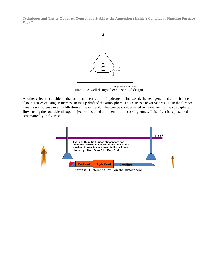

Figure 7. A well designed exhaust hood design.

Another effect to consider is that as the concentration of hydrogen is increased, the heat generated at the front end also increases causing an increase in the up draft of the atmosphere. This causes a negative pressure in the furnace causing an increase in air infiltration at the exit end. This can be compensated by re-balancing the atmosphere flows using the rotatable nitrogen injectors installed at the end of the cooling zones. This effect is represented schematically in figure 8.



Figure 8. Differential pull on the atmosphere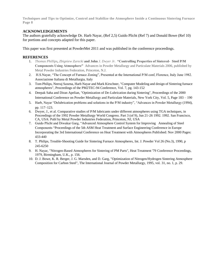#### **ACKNOWLEDGEMENTS**

The authors gratefully acknowledge Dr. Harb Nayar, (Ref 2,5) Guido Plicht (Ref 7) and Donald Bowe (Ref 10) for portions and concepts adapted for this paper.

This paper was first presented at PowderMet 2011 and was published in the conference proceedings.

#### **REFERENCES**

- 1. *Thomas Phillips***,** *Zbigniew Zurecki* **and John** *J. Dwyer Jr.* **"Controlling Properties of Sintered- Steel P/M Components Using Atmosphere"** Advances in Powder Metallurgy and Particulate Materials 2006, published by Metal Powder Industries Federation, Princeton, N.J.
- 2. H.S.Nayar, "The Concept of Furnace Zoning", Presented at the International P/M conf, Florence, Italy June 1982. Associazione Italiana di Metallurgia, Italy
- 3. Tom Philips, Neeraj Saxena, Harb Nayar and Mark Kirschner, "Computer Modeling and design of Sintering furnace atmospheres", Proceedings of the PM2TEC-94 Conference, Vol. 7, pg. 143-152
- 4. Deepak Saha and Diran Apelian, "Optimization of De-Lubrication during Sintering", Proceedings of the 2000 International Conference on Powder Metallurgy and Particulate Materials, New York City, Vol. 5, Page 183 – 190
- 5. Harb, Nayar "Delubrication problems and solutions in the P/M industry", "Advances in Powder Metallurgy (1994), pp. 117–123.
- 6. Dwyer, J., et al. Comparative studies of P/M lubricants under different atmospheres using TGA techniques, in Proceedings of the 1992 Powder Metallurgy World Congress. Part 3 (of 9), Jun 21-26 1992. 1992. San Francisco, CA, USA: Publ by Metal Powder Industries Federation, Princeton, NJ, USA
- 7. Guido Plicht and Diwakar Garg, "Advanced Atmosphere Control System for Improving Annealing of Steel Components "Proceedings of the 5th ASM Heat Treatment and Surface Engineering Conference in Europe Incorporating the 3rd International Conference on Heat Treatment with Atmospheres Published: Nov 2000 Pages: 433-440
- 8. T. Philips, Trouble-Shooting Guide for Sintering Furnace Atmospheres, Int. J. Powder Vol 26 (No.3), 1990, p 245-6250
- 9. H. Nayar, "Nitrogen-Based Atmospheres for Sintering of PM Parts", Heat Treatment '79 Conference Proceedings, 1979, Birmingham, U.K., p. 156.
- 10. D. J. Bowe, K. R. Berger, J. G. Marsden, and D. Garg, "Optimization of Nitrogen/Hydrogen Sintering Atmosphere Composition for Carbon Steel", The International Journal of Powder Metallurgy, 1995, vol. 31, no. 1, p. 29.